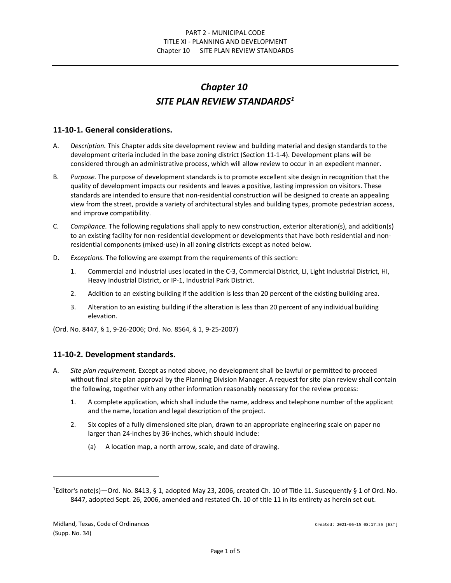## *Chapter 10 SITE PLAN REVIEW STANDARDS[1](#page-0-0)*

## **11-10-1. General considerations.**

- A. *Description.* This Chapter adds site development review and building material and design standards to the development criteria included in the base zoning district (Section 11-1-4). Development plans will be considered through an administrative process, which will allow review to occur in an expedient manner.
- B. *Purpose.* The purpose of development standards is to promote excellent site design in recognition that the quality of development impacts our residents and leaves a positive, lasting impression on visitors. These standards are intended to ensure that non-residential construction will be designed to create an appealing view from the street, provide a variety of architectural styles and building types, promote pedestrian access, and improve compatibility.
- C. *Compliance.* The following regulations shall apply to new construction, exterior alteration(s), and addition(s) to an existing facility for non-residential development or developments that have both residential and nonresidential components (mixed-use) in all zoning districts except as noted below.
- D. *Exceptions.* The following are exempt from the requirements of this section:
	- 1. Commercial and industrial uses located in the C-3, Commercial District, LI, Light Industrial District, HI, Heavy Industrial District, or IP-1, Industrial Park District.
	- 2. Addition to an existing building if the addition is less than 20 percent of the existing building area.
	- 3. Alteration to an existing building if the alteration is less than 20 percent of any individual building elevation.

(Ord. No. 8447, § 1, 9-26-2006; Ord. No. 8564, § 1, 9-25-2007)

## **11-10-2. Development standards.**

- A. *Site plan requirement.* Except as noted above, no development shall be lawful or permitted to proceed without final site plan approval by the Planning Division Manager. A request for site plan review shall contain the following, together with any other information reasonably necessary for the review process:
	- 1. A complete application, which shall include the name, address and telephone number of the applicant and the name, location and legal description of the project.
	- 2. Six copies of a fully dimensioned site plan, drawn to an appropriate engineering scale on paper no larger than 24-inches by 36-inches, which should include:
		- (a) A location map, a north arrow, scale, and date of drawing.

<span id="page-0-0"></span><sup>&</sup>lt;sup>1</sup>Editor's note(s)—Ord. No. 8413, § 1, adopted May 23, 2006, created Ch. 10 of Title 11. Susequently § 1 of Ord. No. 8447, adopted Sept. 26, 2006, amended and restated Ch. 10 of title 11 in its entirety as herein set out.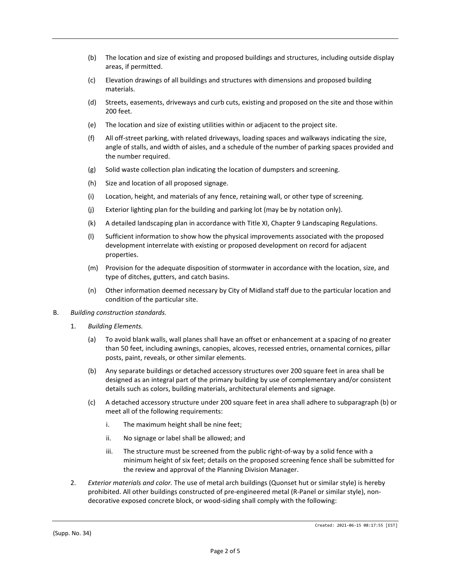- (b) The location and size of existing and proposed buildings and structures, including outside display areas, if permitted.
- (c) Elevation drawings of all buildings and structures with dimensions and proposed building materials.
- (d) Streets, easements, driveways and curb cuts, existing and proposed on the site and those within 200 feet.
- (e) The location and size of existing utilities within or adjacent to the project site.
- (f) All off-street parking, with related driveways, loading spaces and walkways indicating the size, angle of stalls, and width of aisles, and a schedule of the number of parking spaces provided and the number required.
- (g) Solid waste collection plan indicating the location of dumpsters and screening.
- (h) Size and location of all proposed signage.
- (i) Location, height, and materials of any fence, retaining wall, or other type of screening.
- (j) Exterior lighting plan for the building and parking lot (may be by notation only).
- (k) A detailed landscaping plan in accordance with Title XI, Chapter 9 Landscaping Regulations.
- (l) Sufficient information to show how the physical improvements associated with the proposed development interrelate with existing or proposed development on record for adjacent properties.
- (m) Provision for the adequate disposition of stormwater in accordance with the location, size, and type of ditches, gutters, and catch basins.
- (n) Other information deemed necessary by City of Midland staff due to the particular location and condition of the particular site.
- B. *Building construction standards.*
	- 1. *Building Elements.*
		- (a) To avoid blank walls, wall planes shall have an offset or enhancement at a spacing of no greater than 50 feet, including awnings, canopies, alcoves, recessed entries, ornamental cornices, pillar posts, paint, reveals, or other similar elements.
		- (b) Any separate buildings or detached accessory structures over 200 square feet in area shall be designed as an integral part of the primary building by use of complementary and/or consistent details such as colors, building materials, architectural elements and signage.
		- (c) A detached accessory structure under 200 square feet in area shall adhere to subparagraph (b) or meet all of the following requirements:
			- i. The maximum height shall be nine feet;
			- ii. No signage or label shall be allowed; and
			- iii. The structure must be screened from the public right-of-way by a solid fence with a minimum height of six feet; details on the proposed screening fence shall be submitted for the review and approval of the Planning Division Manager.
	- 2. *Exterior materials and color.* The use of metal arch buildings (Quonset hut or similar style) is hereby prohibited. All other buildings constructed of pre-engineered metal (R-Panel or similar style), nondecorative exposed concrete block, or wood-siding shall comply with the following: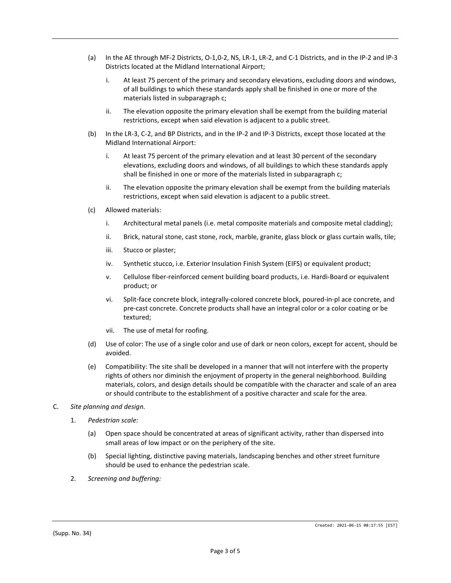- (a) In the AE through MF-2 Districts, O-1,0-2, NS, LR-1, LR-2, and C-1 Districts, and in the IP-2 and IP-3 Districts located at the Midland International Airport;
	- i. At least 75 percent of the primary and secondary elevations, excluding doors and windows, of all buildings to which these standards apply shall be finished in one or more of the materials listed in subparagraph c;
	- ii. The elevation opposite the primary elevation shall be exempt from the building material restrictions, except when said elevation is adjacent to a public street.
- (b) In the LR-3, C-2, and BP Districts, and in the IP-2 and IP-3 Districts, except those located at the Midland International Airport:
	- i. At least 75 percent of the primary elevation and at least 30 percent of the secondary elevations, excluding doors and windows, of all buildings to which these standards apply shall be finished in one or more of the materials listed in subparagraph c;
	- ii. The elevation opposite the primary elevation shall be exempt from the building materials restrictions, except when said elevation is adjacent to a public street.
- (c) Allowed materials:
	- i. Architectural metal panels (i.e. metal composite materials and composite metal cladding);
	- ii. Brick, natural stone, cast stone, rock, marble, granite, glass block or glass curtain walls, tile;
	- iii. Stucco or plaster;
	- iv. Synthetic stucco, i.e. Exterior Insulation Finish System (EIFS) or equivalent product;
	- v. Cellulose fiber-reinforced cement building board products, i.e. Hardi-Board or equivalent product; or
	- vi. Split-face concrete block, integrally-colored concrete block, poured-in-pl ace concrete, and pre-cast concrete. Concrete products shall have an integral color or a color coating or be textured;
	- vii. The use of metal for roofing.
- (d) Use of color: The use of a single color and use of dark or neon colors, except for accent, should be avoided.
- (e) Compatibility: The site shall be developed in a manner that will not interfere with the property rights of others nor diminish the enjoyment of property in the general neighborhood. Building materials, colors, and design details should be compatible with the character and scale of an area or should contribute to the establishment of a positive character and scale for the area.
- C. *Site planning and design.*
	- 1. *Pedestrian scale:*
		- (a) Open space should be concentrated at areas of significant activity, rather than dispersed into small areas of low impact or on the periphery of the site.
		- (b) Special lighting, distinctive paving materials, landscaping benches and other street furniture should be used to enhance the pedestrian scale.
	- 2. *Screening and buffering:*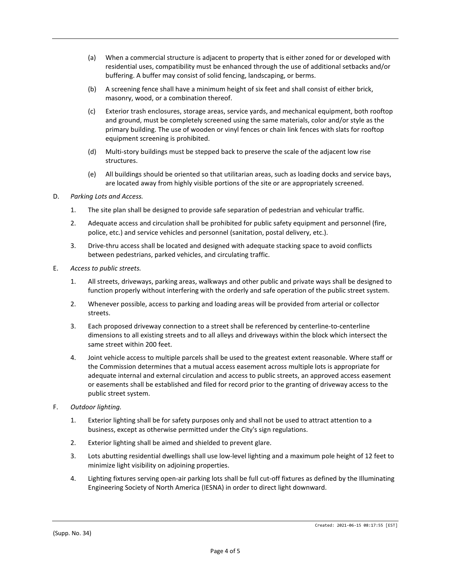- (a) When a commercial structure is adjacent to property that is either zoned for or developed with residential uses, compatibility must be enhanced through the use of additional setbacks and/or buffering. A buffer may consist of solid fencing, landscaping, or berms.
- (b) A screening fence shall have a minimum height of six feet and shall consist of either brick, masonry, wood, or a combination thereof.
- (c) Exterior trash enclosures, storage areas, service yards, and mechanical equipment, both rooftop and ground, must be completely screened using the same materials, color and/or style as the primary building. The use of wooden or vinyl fences or chain link fences with slats for rooftop equipment screening is prohibited.
- (d) Multi-story buildings must be stepped back to preserve the scale of the adjacent low rise structures.
- (e) All buildings should be oriented so that utilitarian areas, such as loading docks and service bays, are located away from highly visible portions of the site or are appropriately screened.

## D. *Parking Lots and Access.*

- 1. The site plan shall be designed to provide safe separation of pedestrian and vehicular traffic.
- 2. Adequate access and circulation shall be prohibited for public safety equipment and personnel (fire, police, etc.) and service vehicles and personnel (sanitation, postal delivery, etc.).
- 3. Drive-thru access shall be located and designed with adequate stacking space to avoid conflicts between pedestrians, parked vehicles, and circulating traffic.
- E. *Access to public streets.*
	- 1. All streets, driveways, parking areas, walkways and other public and private ways shall be designed to function properly without interfering with the orderly and safe operation of the public street system.
	- 2. Whenever possible, access to parking and loading areas will be provided from arterial or collector streets.
	- 3. Each proposed driveway connection to a street shall be referenced by centerline-to-centerline dimensions to all existing streets and to all alleys and driveways within the block which intersect the same street within 200 feet.
	- 4. Joint vehicle access to multiple parcels shall be used to the greatest extent reasonable. Where staff or the Commission determines that a mutual access easement across multiple lots is appropriate for adequate internal and external circulation and access to public streets, an approved access easement or easements shall be established and filed for record prior to the granting of driveway access to the public street system.
- F. *Outdoor lighting.*
	- 1. Exterior lighting shall be for safety purposes only and shall not be used to attract attention to a business, except as otherwise permitted under the City's sign regulations.
	- 2. Exterior lighting shall be aimed and shielded to prevent glare.
	- 3. Lots abutting residential dwellings shall use low-level lighting and a maximum pole height of 12 feet to minimize light visibility on adjoining properties.
	- 4. Lighting fixtures serving open-air parking lots shall be full cut-off fixtures as defined by the Illuminating Engineering Society of North America (IESNA) in order to direct light downward.